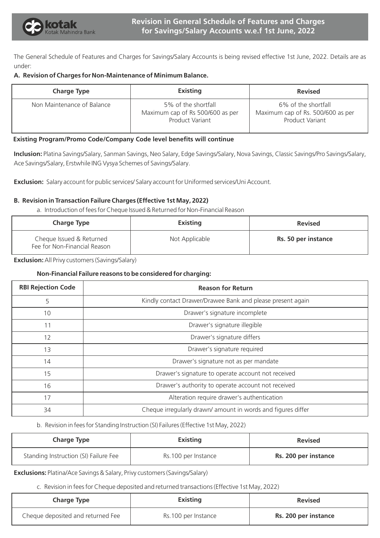

The General Schedule of Features and Charges for Savings/Salary Accounts is being revised effective 1st June, 2022. Details are as under:

## **A. Revision of Charges for Non-Maintenance of Minimum Balance.**

| <b>Charge Type</b>         | <b>Existing</b>                                                                   | <b>Revised</b>                                                                     |
|----------------------------|-----------------------------------------------------------------------------------|------------------------------------------------------------------------------------|
| Non Maintenance of Balance | 5% of the shortfall<br>Maximum cap of Rs 500/600 as per<br><b>Product Variant</b> | 6% of the shortfall<br>Maximum cap of Rs. 500/600 as per<br><b>Product Variant</b> |

# **Existing Program/Promo Code/Company Code level benefits will continue**

**Inclusion:** Platina Savings/Salary, Sanman Savings, Neo Salary, Edge Savings/Salary, Nova Savings, Classic Savings/Pro Savings/Salary, Ace Savings/Salary, Erstwhile ING Vysya Schemes of Savings/Salary.

**Exclusion:** Salary account for public services/ Salary account for Uniformed services/Uni Account.

# **B. Revision in Transaction Failure Charges (Effective 1st May, 2022)**

a. Introduction of fees for Cheque Issued & Returned for Non-Financial Reason

| <b>Charge Type</b>                                       | <b>Existing</b> | <b>Revised</b>      |
|----------------------------------------------------------|-----------------|---------------------|
| Cheque Issued & Returned<br>Fee for Non-Financial Reason | Not Applicable  | Rs. 50 per instance |

**Exclusion:** All Privy customers (Savings/Salary)

# **Non-Financial Failure reasons to be considered for charging:**

| <b>RBI Rejection Code</b> | <b>Reason for Return</b>                                     |
|---------------------------|--------------------------------------------------------------|
| 5                         | Kindly contact Drawer/Drawee Bank and please present again   |
| 10                        | Drawer's signature incomplete                                |
| 11                        | Drawer's signature illegible                                 |
| 12                        | Drawer's signature differs                                   |
| 13                        | Drawer's signature required                                  |
| 14                        | Drawer's signature not as per mandate                        |
| 15                        | Drawer's signature to operate account not received           |
| 16                        | Drawer's authority to operate account not received           |
| 17                        | Alteration require drawer's authentication                   |
| 34                        | Cheque irregularly drawn/ amount in words and figures differ |

#### b. Revision in fees for Standing Instruction (SI) Failures (Effective 1st May, 2022)

| <b>Charge Type</b>                    | <b>Existing</b>     | <b>Revised</b>       |
|---------------------------------------|---------------------|----------------------|
| Standing Instruction (SI) Failure Fee | Rs.100 per Instance | Rs. 200 per instance |

# **Exclusions:** Platina/Ace Savings & Salary, Privy customers (Savings/Salary)

c. Revision in fees for Cheque deposited and returned transactions (Effective 1st May, 2022)

| <b>Charge Type</b>                | <b>Existing</b>     | <b>Revised</b>       |
|-----------------------------------|---------------------|----------------------|
| Cheque deposited and returned Fee | Rs.100 per Instance | Rs. 200 per instance |